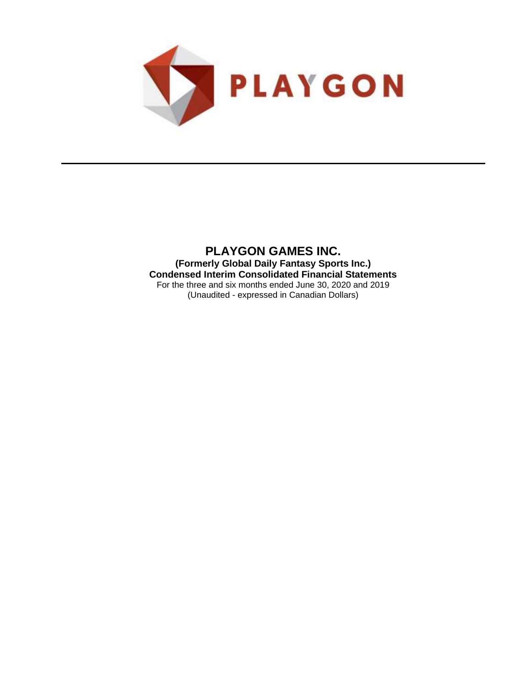

**PLAYGON GAMES INC. (Formerly Global Daily Fantasy Sports Inc.) Condensed Interim Consolidated Financial Statements** For the three and six months ended June 30, 2020 and 2019 (Unaudited - expressed in Canadian Dollars)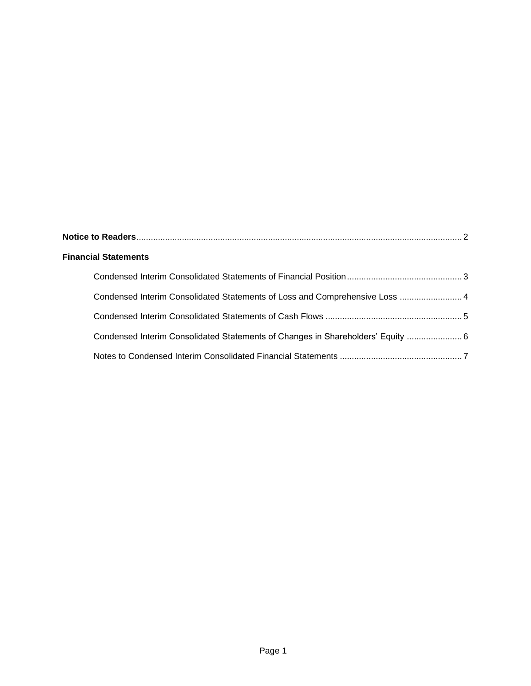| <b>Financial Statements</b>                                                     |  |
|---------------------------------------------------------------------------------|--|
|                                                                                 |  |
| Condensed Interim Consolidated Statements of Loss and Comprehensive Loss  4     |  |
|                                                                                 |  |
| Condensed Interim Consolidated Statements of Changes in Shareholders' Equity  6 |  |
|                                                                                 |  |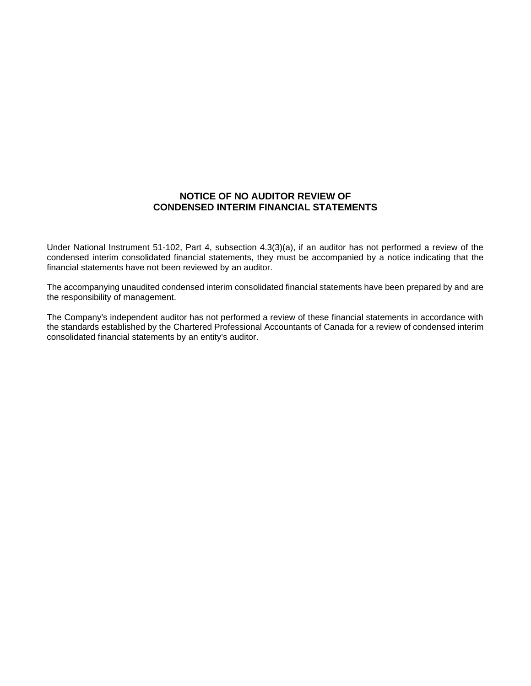# **NOTICE OF NO AUDITOR REVIEW OF CONDENSED INTERIM FINANCIAL STATEMENTS**

Under National Instrument 51-102, Part 4, subsection 4.3(3)(a), if an auditor has not performed a review of the condensed interim consolidated financial statements, they must be accompanied by a notice indicating that the financial statements have not been reviewed by an auditor.

The accompanying unaudited condensed interim consolidated financial statements have been prepared by and are the responsibility of management.

The Company's independent auditor has not performed a review of these financial statements in accordance with the standards established by the Chartered Professional Accountants of Canada for a review of condensed interim consolidated financial statements by an entity's auditor.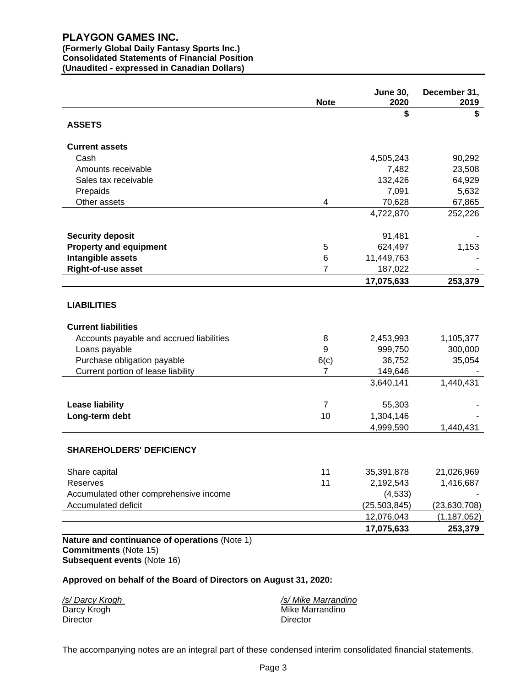### **(Formerly Global Daily Fantasy Sports Inc.) Consolidated Statements of Financial Position (Unaudited - expressed in Canadian Dollars)**

**Note June 30, 2020 December 31, 2019 \$ \$ ASSETS Current assets** Cash 4,505,243 90,292 Amounts receivable 23,508 Sales tax receivable 64,929 Prepaids 7,091 5,632 Other assets 67,865 4,722,870 252,226 **Security deposit** 91,481 - **Security deposit Property and equipment 1,153 624,497 1,153 Intangible assets** 6 11,449,763 **Right-of-use asset** 7 187,022 **17,075,633 253,379 LIABILITIES Current liabilities** Accounts payable and accrued liabilities 18 1,105,377 1,105,377 Loans payable 9 999,750 300,000 Purchase obligation payable **6(c)** 36,752 35,054 Current portion of lease liability 149,646 3,640,141 1,440,431 **Lease liability** 7 55,303 - **Long-term debt** 1,304,146 4,999,590 1,440,431 **SHAREHOLDERS' DEFICIENCY** Share capital 11 35,391,878 21,026,969 21,026,969 Reserves 11 2,192,543 1,416,687 Accumulated other comprehensive income  $(4,533)$ Accumulated deficit (25,503,845) (23,630,708) 12,076,043 (1,187,052) **17,075,633 253,379** 

**Nature and continuance of operations** (Note 1) **Commitments** (Note 15) **Subsequent events** (Note 16)

### **Approved on behalf of the Board of Directors on August 31, 2020:**

| /s/ Darcy Krogh | /s/ Mike Marrandino |
|-----------------|---------------------|
| Darcy Krogh     | Mike Marrandino     |
| <b>Director</b> | Director            |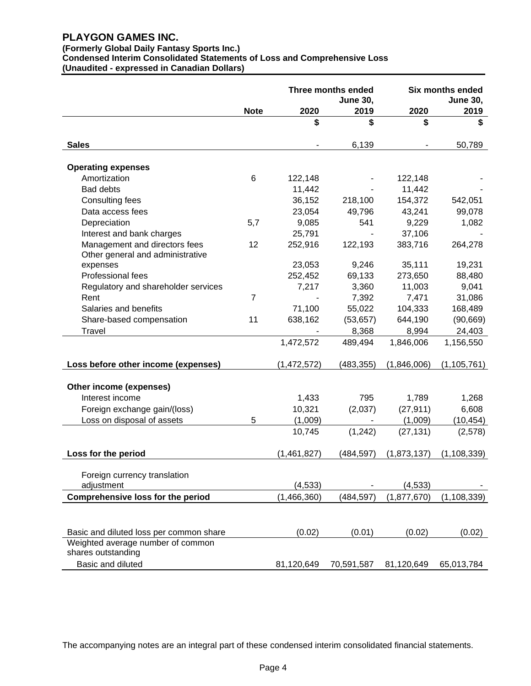# **(Formerly Global Daily Fantasy Sports Inc.)**

**Condensed Interim Consolidated Statements of Loss and Comprehensive Loss (Unaudited - expressed in Canadian Dollars)**

|                                            |                | Three months ended<br><b>June 30,</b> |                | <b>Six months ended</b> |               |
|--------------------------------------------|----------------|---------------------------------------|----------------|-------------------------|---------------|
|                                            | <b>Note</b>    | 2020                                  | 2019           | 2020                    | 2019          |
|                                            |                | \$                                    | \$             | \$                      | \$            |
| <b>Sales</b>                               |                |                                       | 6,139          |                         | 50,789        |
|                                            |                |                                       |                |                         |               |
| <b>Operating expenses</b>                  |                |                                       |                |                         |               |
| Amortization                               | 6              | 122,148                               |                | 122,148                 |               |
| <b>Bad debts</b>                           |                | 11,442                                |                | 11,442                  |               |
| Consulting fees                            |                | 36,152                                | 218,100        | 154,372                 | 542,051       |
| Data access fees                           |                | 23,054                                | 49,796         | 43,241                  | 99,078        |
| Depreciation                               | 5,7            | 9,085                                 | 541            | 9,229                   | 1,082         |
| Interest and bank charges                  |                | 25,791                                |                | 37,106                  |               |
| Management and directors fees              | 12             | 252,916                               | 122,193        | 383,716                 | 264,278       |
| Other general and administrative           |                |                                       |                |                         |               |
| expenses                                   |                | 23,053                                | 9,246          | 35,111                  | 19,231        |
| Professional fees                          |                | 252,452                               | 69,133         | 273,650                 | 88,480        |
| Regulatory and shareholder services        |                | 7,217                                 | 3,360          | 11,003                  | 9,041         |
| Rent                                       | $\overline{7}$ |                                       | 7,392          | 7,471                   | 31,086        |
| Salaries and benefits                      |                | 71,100                                | 55,022         | 104,333                 | 168,489       |
| Share-based compensation                   | 11             | 638,162                               | (53, 657)      | 644,190                 | (90, 669)     |
| Travel                                     |                |                                       | 8,368          | 8,994                   | 24,403        |
|                                            |                | 1,472,572                             | 489,494        | 1,846,006               | 1,156,550     |
| Loss before other income (expenses)        |                | (1,472,572)                           | (483, 355)     | (1,846,006)             | (1, 105, 761) |
|                                            |                |                                       |                |                         |               |
| Other income (expenses)                    |                |                                       |                |                         |               |
| Interest income                            |                | 1,433                                 | 795            | 1,789                   | 1,268         |
| Foreign exchange gain/(loss)               |                | 10,321                                | (2,037)        | (27, 911)               | 6,608         |
| Loss on disposal of assets                 | 5              | (1,009)                               | $\blacksquare$ | (1,009)                 | (10, 454)     |
|                                            |                | 10,745                                | (1,242)        | (27, 131)               | (2,578)       |
| Loss for the period                        |                | (1,461,827)                           | (484, 597)     | (1,873,137)             | (1, 108, 339) |
|                                            |                |                                       |                |                         |               |
| Foreign currency translation<br>adjustment |                |                                       |                |                         |               |
|                                            |                | (4, 533)                              |                | (4, 533)                |               |
| <b>Comprehensive loss for the period</b>   |                | (1,466,360)                           | (484, 597)     | (1, 877, 670)           | (1, 108, 339) |
|                                            |                |                                       |                |                         |               |
| Basic and diluted loss per common share    |                | (0.02)                                | (0.01)         | (0.02)                  | (0.02)        |
| Weighted average number of common          |                |                                       |                |                         |               |
| shares outstanding                         |                |                                       |                |                         |               |
| Basic and diluted                          |                | 81,120,649                            | 70,591,587     | 81,120,649              | 65,013,784    |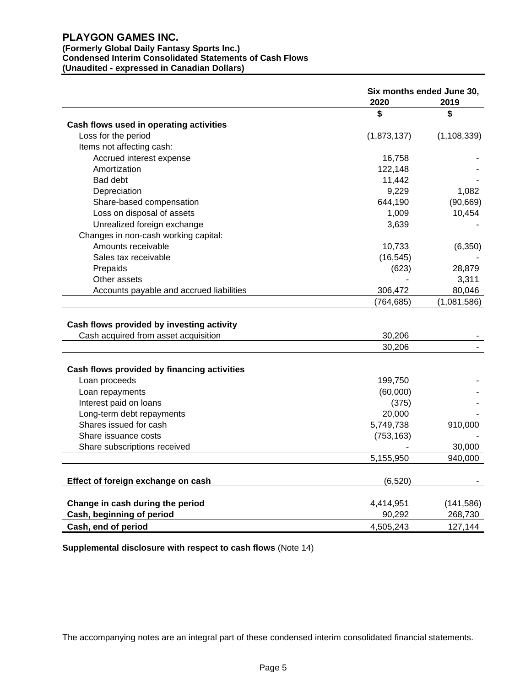# **(Formerly Global Daily Fantasy Sports Inc.) Condensed Interim Consolidated Statements of Cash Flows (Unaudited - expressed in Canadian Dollars)**

|                                                                                   | 2020        | Six months ended June 30,<br>2019 |
|-----------------------------------------------------------------------------------|-------------|-----------------------------------|
|                                                                                   | \$          | \$                                |
| Cash flows used in operating activities                                           |             |                                   |
| Loss for the period                                                               | (1,873,137) | (1, 108, 339)                     |
| Items not affecting cash:                                                         |             |                                   |
| Accrued interest expense                                                          | 16,758      |                                   |
| Amortization                                                                      | 122,148     |                                   |
| <b>Bad debt</b>                                                                   | 11,442      |                                   |
| Depreciation                                                                      | 9,229       | 1,082                             |
| Share-based compensation                                                          | 644,190     | (90, 669)                         |
| Loss on disposal of assets                                                        | 1,009       | 10,454                            |
| Unrealized foreign exchange                                                       | 3,639       |                                   |
| Changes in non-cash working capital:                                              |             |                                   |
| Amounts receivable                                                                | 10,733      | (6,350)                           |
| Sales tax receivable                                                              | (16, 545)   |                                   |
| Prepaids                                                                          | (623)       | 28,879                            |
| Other assets                                                                      |             | 3,311                             |
| Accounts payable and accrued liabilities                                          | 306,472     | 80,046                            |
|                                                                                   | (764, 685)  | (1,081,586)                       |
| Cash flows provided by investing activity<br>Cash acquired from asset acquisition | 30,206      |                                   |
|                                                                                   | 30,206      |                                   |
|                                                                                   |             |                                   |
| Cash flows provided by financing activities                                       |             |                                   |
| Loan proceeds                                                                     | 199,750     |                                   |
| Loan repayments                                                                   | (60,000)    |                                   |
| Interest paid on loans                                                            | (375)       |                                   |
| Long-term debt repayments                                                         | 20,000      |                                   |
| Shares issued for cash                                                            | 5,749,738   | 910,000                           |
| Share issuance costs                                                              | (753, 163)  |                                   |
| Share subscriptions received                                                      |             | 30,000                            |
|                                                                                   | 5,155,950   | 940,000                           |
|                                                                                   |             |                                   |
| Effect of foreign exchange on cash                                                | (6, 520)    |                                   |
| Change in cash during the period                                                  | 4,414,951   | (141, 586)                        |
| Cash, beginning of period                                                         | 90,292      | 268,730                           |
| Cash, end of period                                                               | 4,505,243   | 127,144                           |

**Supplemental disclosure with respect to cash flows** (Note 14)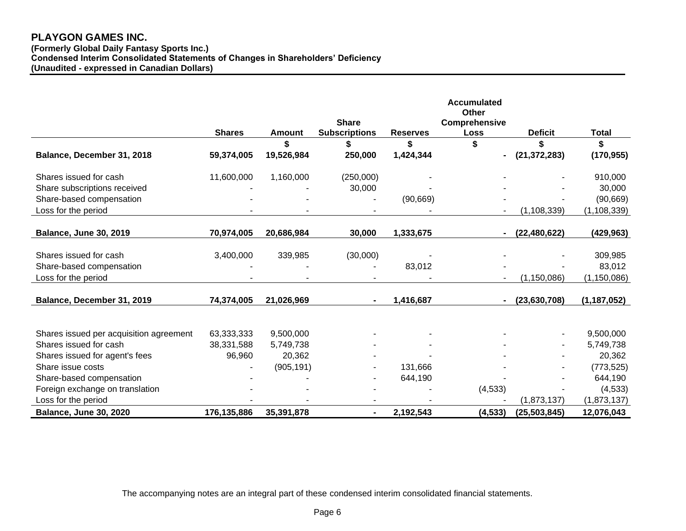**(Formerly Global Daily Fantasy Sports Inc.) Condensed Interim Consolidated Statements of Changes in Shareholders' Deficiency (Unaudited - expressed in Canadian Dollars)**

|                                         |               |               |                      |                 | <b>Accumulated</b><br><b>Other</b> |                |               |
|-----------------------------------------|---------------|---------------|----------------------|-----------------|------------------------------------|----------------|---------------|
|                                         |               |               | <b>Share</b>         |                 | Comprehensive                      |                |               |
|                                         | <b>Shares</b> | <b>Amount</b> | <b>Subscriptions</b> | <b>Reserves</b> | Loss                               | <b>Deficit</b> | Total         |
|                                         |               |               |                      | \$              |                                    | \$             | \$            |
| Balance, December 31, 2018              | 59,374,005    | 19,526,984    | 250,000              | 1,424,344       | $\blacksquare$                     | (21, 372, 283) | (170, 955)    |
| Shares issued for cash                  | 11,600,000    | 1,160,000     | (250,000)            |                 |                                    |                | 910,000       |
| Share subscriptions received            |               |               | 30,000               |                 |                                    |                | 30,000        |
| Share-based compensation                |               |               |                      | (90, 669)       |                                    |                | (90, 669)     |
| Loss for the period                     |               |               |                      |                 |                                    | (1, 108, 339)  | (1, 108, 339) |
|                                         |               |               |                      |                 |                                    |                |               |
| <b>Balance, June 30, 2019</b>           | 70,974,005    | 20,686,984    | 30,000               | 1,333,675       |                                    | (22, 480, 622) | (429, 963)    |
|                                         |               |               |                      |                 |                                    |                |               |
| Shares issued for cash                  | 3,400,000     | 339,985       | (30,000)             |                 |                                    |                | 309,985       |
| Share-based compensation                |               |               |                      | 83,012          |                                    |                | 83,012        |
| Loss for the period                     |               |               |                      |                 |                                    | (1, 150, 086)  | (1, 150, 086) |
|                                         |               |               |                      |                 |                                    |                |               |
| Balance, December 31, 2019              | 74,374,005    | 21,026,969    |                      | 1,416,687       |                                    | (23,630,708)   | (1, 187, 052) |
|                                         |               |               |                      |                 |                                    |                |               |
| Shares issued per acquisition agreement | 63,333,333    | 9,500,000     |                      |                 |                                    |                | 9,500,000     |
| Shares issued for cash                  | 38,331,588    | 5,749,738     |                      |                 |                                    |                | 5,749,738     |
| Shares issued for agent's fees          | 96,960        | 20,362        |                      |                 |                                    |                | 20,362        |
| Share issue costs                       |               | (905, 191)    |                      | 131,666         |                                    |                | (773, 525)    |
| Share-based compensation                |               |               |                      | 644,190         |                                    |                | 644,190       |
| Foreign exchange on translation         |               |               |                      |                 | (4, 533)                           |                | (4, 533)      |
| Loss for the period                     |               |               |                      |                 |                                    | (1,873,137)    | (1,873,137)   |
| Balance, June 30, 2020                  | 176,135,886   | 35,391,878    |                      | 2,192,543       | (4, 533)                           | (25, 503, 845) | 12,076,043    |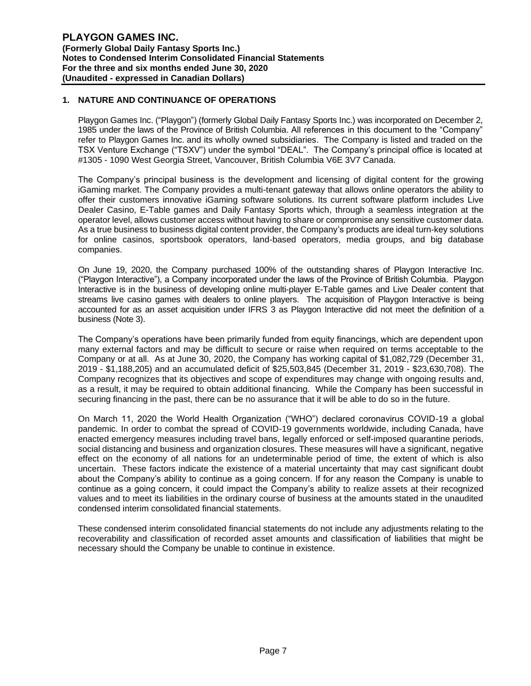# **1. NATURE AND CONTINUANCE OF OPERATIONS**

Playgon Games Inc. ("Playgon") (formerly Global Daily Fantasy Sports Inc.) was incorporated on December 2, 1985 under the laws of the Province of British Columbia. All references in this document to the "Company" refer to Playgon Games Inc. and its wholly owned subsidiaries. The Company is listed and traded on the TSX Venture Exchange ("TSXV") under the symbol "DEAL". The Company's principal office is located at #1305 - 1090 West Georgia Street, Vancouver, British Columbia V6E 3V7 Canada.

The Company's principal business is the development and licensing of digital content for the growing iGaming market. The Company provides a multi-tenant gateway that allows online operators the ability to offer their customers innovative iGaming software solutions. Its current software platform includes Live Dealer Casino, E-Table games and Daily Fantasy Sports which, through a seamless integration at the operator level, allows customer access without having to share or compromise any sensitive customer data. As a true business to business digital content provider, the Company's products are ideal turn-key solutions for online casinos, sportsbook operators, land-based operators, media groups, and big database companies.

On June 19, 2020, the Company purchased 100% of the outstanding shares of Playgon Interactive Inc. ("Playgon Interactive"), a Company incorporated under the laws of the Province of British Columbia. Playgon Interactive is in the business of developing online multi-player E-Table games and Live Dealer content that streams live casino games with dealers to online players. The acquisition of Playgon Interactive is being accounted for as an asset acquisition under IFRS 3 as Playgon Interactive did not meet the definition of a business (Note 3).

The Company's operations have been primarily funded from equity financings, which are dependent upon many external factors and may be difficult to secure or raise when required on terms acceptable to the Company or at all. As at June 30, 2020, the Company has working capital of \$1,082,729 (December 31, 2019 - \$1,188,205) and an accumulated deficit of \$25,503,845 (December 31, 2019 - \$23,630,708). The Company recognizes that its objectives and scope of expenditures may change with ongoing results and, as a result, it may be required to obtain additional financing. While the Company has been successful in securing financing in the past, there can be no assurance that it will be able to do so in the future.

On March 11, 2020 the World Health Organization ("WHO") declared coronavirus COVID-19 a global pandemic. In order to combat the spread of COVID-19 governments worldwide, including Canada, have enacted emergency measures including travel bans, legally enforced or self-imposed quarantine periods, social distancing and business and organization closures. These measures will have a significant, negative effect on the economy of all nations for an undeterminable period of time, the extent of which is also uncertain. These factors indicate the existence of a material uncertainty that may cast significant doubt about the Company's ability to continue as a going concern. If for any reason the Company is unable to continue as a going concern, it could impact the Company's ability to realize assets at their recognized values and to meet its liabilities in the ordinary course of business at the amounts stated in the unaudited condensed interim consolidated financial statements.

These condensed interim consolidated financial statements do not include any adjustments relating to the recoverability and classification of recorded asset amounts and classification of liabilities that might be necessary should the Company be unable to continue in existence.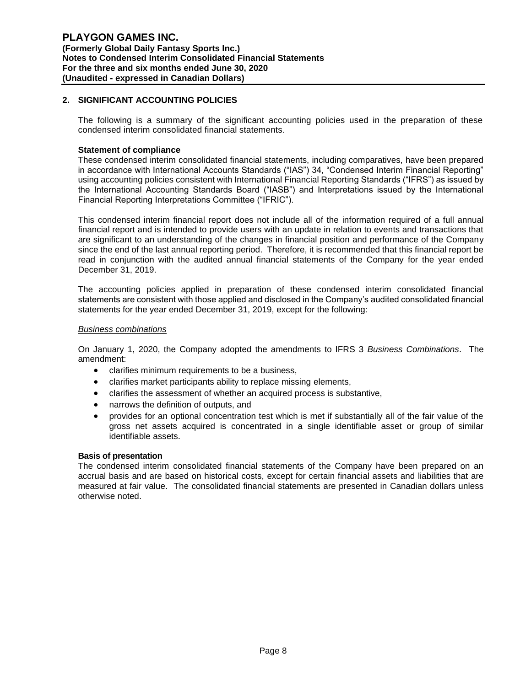# **2. SIGNIFICANT ACCOUNTING POLICIES**

The following is a summary of the significant accounting policies used in the preparation of these condensed interim consolidated financial statements.

### **Statement of compliance**

These condensed interim consolidated financial statements, including comparatives, have been prepared in accordance with International Accounts Standards ("IAS") 34, "Condensed Interim Financial Reporting" using accounting policies consistent with International Financial Reporting Standards ("IFRS") as issued by the International Accounting Standards Board ("IASB") and Interpretations issued by the International Financial Reporting Interpretations Committee ("IFRIC").

This condensed interim financial report does not include all of the information required of a full annual financial report and is intended to provide users with an update in relation to events and transactions that are significant to an understanding of the changes in financial position and performance of the Company since the end of the last annual reporting period. Therefore, it is recommended that this financial report be read in conjunction with the audited annual financial statements of the Company for the year ended December 31, 2019.

The accounting policies applied in preparation of these condensed interim consolidated financial statements are consistent with those applied and disclosed in the Company's audited consolidated financial statements for the year ended December 31, 2019, except for the following:

#### *Business combinations*

On January 1, 2020, the Company adopted the amendments to IFRS 3 *Business Combinations*. The amendment:

- clarifies minimum requirements to be a business,
- clarifies market participants ability to replace missing elements,
- clarifies the assessment of whether an acquired process is substantive,
- narrows the definition of outputs, and
- provides for an optional concentration test which is met if substantially all of the fair value of the gross net assets acquired is concentrated in a single identifiable asset or group of similar identifiable assets.

### **Basis of presentation**

The condensed interim consolidated financial statements of the Company have been prepared on an accrual basis and are based on historical costs, except for certain financial assets and liabilities that are measured at fair value. The consolidated financial statements are presented in Canadian dollars unless otherwise noted.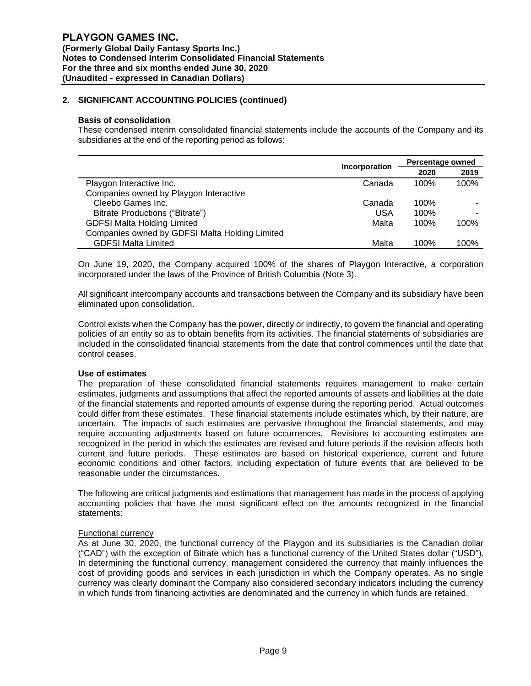### **Basis of consolidation**

These condensed interim consolidated financial statements include the accounts of the Company and its subsidiaries at the end of the reporting period as follows:

|                                                | Incorporation | Percentage owned |      |  |
|------------------------------------------------|---------------|------------------|------|--|
|                                                |               | 2020             | 2019 |  |
| Playgon Interactive Inc.                       | Canada        | 100%             | 100% |  |
| Companies owned by Playgon Interactive         |               |                  |      |  |
| Cleebo Games Inc.                              | Canada        | 100%             | -    |  |
| Bitrate Productions ("Bitrate")                | USA           | 100%             | -    |  |
| <b>GDFSI Malta Holding Limited</b>             | Malta         | 100%             | 100% |  |
| Companies owned by GDFSI Malta Holding Limited |               |                  |      |  |
| <b>GDFSI Malta Limited</b>                     | Malta         | 100%             | 100% |  |

On June 19, 2020, the Company acquired 100% of the shares of Playgon Interactive, a corporation incorporated under the laws of the Province of British Columbia (Note 3).

All significant intercompany accounts and transactions between the Company and its subsidiary have been eliminated upon consolidation.

Control exists when the Company has the power, directly or indirectly, to govern the financial and operating policies of an entity so as to obtain benefits from its activities. The financial statements of subsidiaries are included in the consolidated financial statements from the date that control commences until the date that control ceases.

#### **Use of estimates**

The preparation of these consolidated financial statements requires management to make certain estimates, judgments and assumptions that affect the reported amounts of assets and liabilities at the date of the financial statements and reported amounts of expense during the reporting period. Actual outcomes could differ from these estimates. These financial statements include estimates which, by their nature, are uncertain. The impacts of such estimates are pervasive throughout the financial statements, and may require accounting adjustments based on future occurrences. Revisions to accounting estimates are recognized in the period in which the estimates are revised and future periods if the revision affects both current and future periods. These estimates are based on historical experience, current and future economic conditions and other factors, including expectation of future events that are believed to be reasonable under the circumstances.

The following are critical judgments and estimations that management has made in the process of applying accounting policies that have the most significant effect on the amounts recognized in the financial statements:

### Functional currency

As at June 30, 2020, the functional currency of the Playgon and its subsidiaries is the Canadian dollar ("CAD") with the exception of Bitrate which has a functional currency of the United States dollar ("USD"). In determining the functional currency, management considered the currency that mainly influences the cost of providing goods and services in each jurisdiction in which the Company operates. As no single currency was clearly dominant the Company also considered secondary indicators including the currency in which funds from financing activities are denominated and the currency in which funds are retained.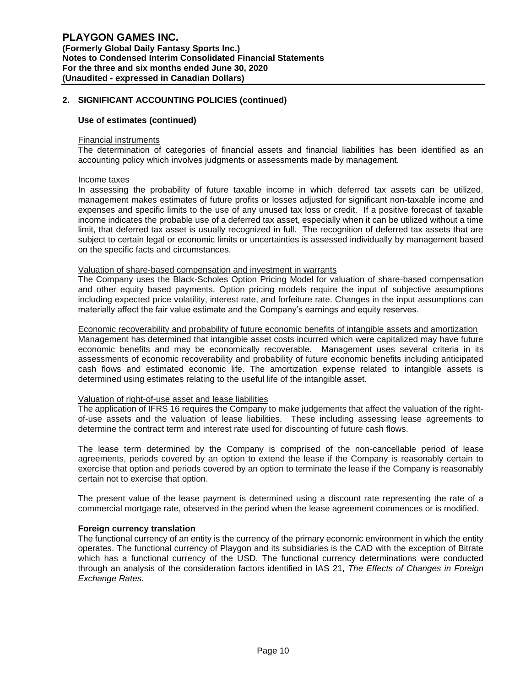### **Use of estimates (continued)**

#### Financial instruments

The determination of categories of financial assets and financial liabilities has been identified as an accounting policy which involves judgments or assessments made by management.

#### Income taxes

In assessing the probability of future taxable income in which deferred tax assets can be utilized, management makes estimates of future profits or losses adjusted for significant non-taxable income and expenses and specific limits to the use of any unused tax loss or credit. If a positive forecast of taxable income indicates the probable use of a deferred tax asset, especially when it can be utilized without a time limit, that deferred tax asset is usually recognized in full. The recognition of deferred tax assets that are subject to certain legal or economic limits or uncertainties is assessed individually by management based on the specific facts and circumstances.

#### Valuation of share-based compensation and investment in warrants

The Company uses the Black-Scholes Option Pricing Model for valuation of share-based compensation and other equity based payments. Option pricing models require the input of subjective assumptions including expected price volatility, interest rate, and forfeiture rate. Changes in the input assumptions can materially affect the fair value estimate and the Company's earnings and equity reserves.

#### Economic recoverability and probability of future economic benefits of intangible assets and amortization

Management has determined that intangible asset costs incurred which were capitalized may have future economic benefits and may be economically recoverable. Management uses several criteria in its assessments of economic recoverability and probability of future economic benefits including anticipated cash flows and estimated economic life. The amortization expense related to intangible assets is determined using estimates relating to the useful life of the intangible asset.

#### Valuation of right-of-use asset and lease liabilities

The application of IFRS 16 requires the Company to make judgements that affect the valuation of the rightof-use assets and the valuation of lease liabilities. These including assessing lease agreements to determine the contract term and interest rate used for discounting of future cash flows.

The lease term determined by the Company is comprised of the non-cancellable period of lease agreements, periods covered by an option to extend the lease if the Company is reasonably certain to exercise that option and periods covered by an option to terminate the lease if the Company is reasonably certain not to exercise that option.

The present value of the lease payment is determined using a discount rate representing the rate of a commercial mortgage rate, observed in the period when the lease agreement commences or is modified.

#### **Foreign currency translation**

The functional currency of an entity is the currency of the primary economic environment in which the entity operates. The functional currency of Playgon and its subsidiaries is the CAD with the exception of Bitrate which has a functional currency of the USD. The functional currency determinations were conducted through an analysis of the consideration factors identified in IAS 21, *The Effects of Changes in Foreign Exchange Rates*.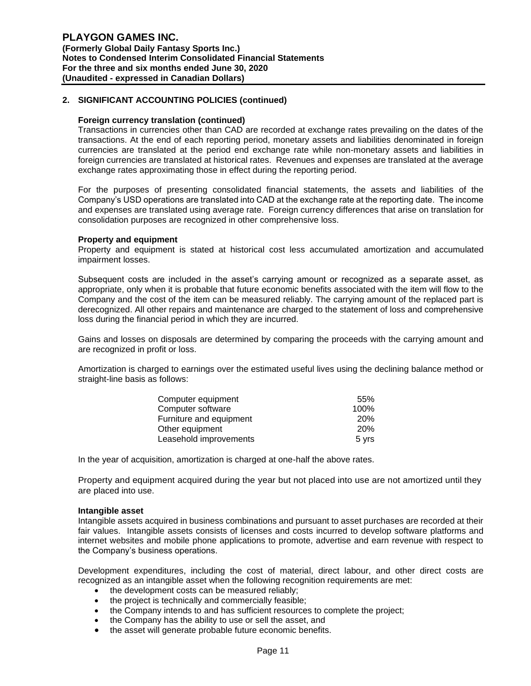### **Foreign currency translation (continued)**

Transactions in currencies other than CAD are recorded at exchange rates prevailing on the dates of the transactions. At the end of each reporting period, monetary assets and liabilities denominated in foreign currencies are translated at the period end exchange rate while non-monetary assets and liabilities in foreign currencies are translated at historical rates. Revenues and expenses are translated at the average exchange rates approximating those in effect during the reporting period.

For the purposes of presenting consolidated financial statements, the assets and liabilities of the Company's USD operations are translated into CAD at the exchange rate at the reporting date. The income and expenses are translated using average rate. Foreign currency differences that arise on translation for consolidation purposes are recognized in other comprehensive loss.

#### **Property and equipment**

Property and equipment is stated at historical cost less accumulated amortization and accumulated impairment losses.

Subsequent costs are included in the asset's carrying amount or recognized as a separate asset, as appropriate, only when it is probable that future economic benefits associated with the item will flow to the Company and the cost of the item can be measured reliably. The carrying amount of the replaced part is derecognized. All other repairs and maintenance are charged to the statement of loss and comprehensive loss during the financial period in which they are incurred.

Gains and losses on disposals are determined by comparing the proceeds with the carrying amount and are recognized in profit or loss.

Amortization is charged to earnings over the estimated useful lives using the declining balance method or straight-line basis as follows:

| Computer equipment      | 55%        |
|-------------------------|------------|
| Computer software       | 100%       |
| Furniture and equipment | <b>20%</b> |
| Other equipment         | <b>20%</b> |
| Leasehold improvements  | 5 vrs      |

In the year of acquisition, amortization is charged at one-half the above rates.

Property and equipment acquired during the year but not placed into use are not amortized until they are placed into use.

#### **Intangible asset**

Intangible assets acquired in business combinations and pursuant to asset purchases are recorded at their fair values. Intangible assets consists of licenses and costs incurred to develop software platforms and internet websites and mobile phone applications to promote, advertise and earn revenue with respect to the Company's business operations.

Development expenditures, including the cost of material, direct labour, and other direct costs are recognized as an intangible asset when the following recognition requirements are met:

- the development costs can be measured reliably;
- the project is technically and commercially feasible;
- the Company intends to and has sufficient resources to complete the project;
- the Company has the ability to use or sell the asset, and
- the asset will generate probable future economic benefits.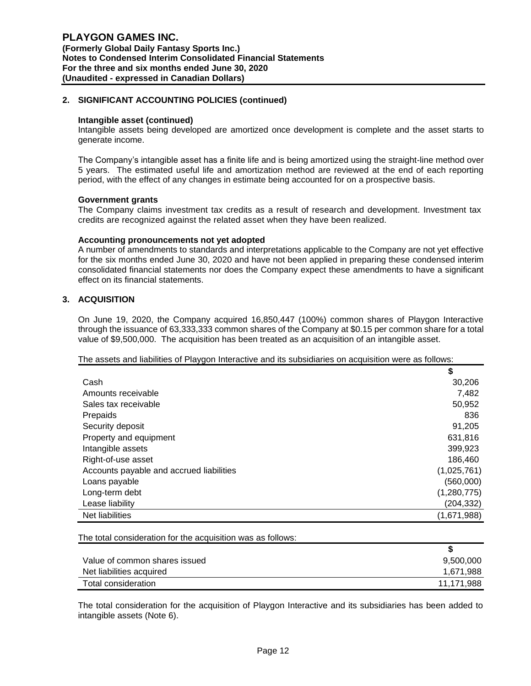#### **Intangible asset (continued)**

Intangible assets being developed are amortized once development is complete and the asset starts to generate income.

The Company's intangible asset has a finite life and is being amortized using the straight-line method over 5 years. The estimated useful life and amortization method are reviewed at the end of each reporting period, with the effect of any changes in estimate being accounted for on a prospective basis.

#### **Government grants**

The Company claims investment tax credits as a result of research and development. Investment tax credits are recognized against the related asset when they have been realized.

#### **Accounting pronouncements not yet adopted**

A number of amendments to standards and interpretations applicable to the Company are not yet effective for the six months ended June 30, 2020 and have not been applied in preparing these condensed interim consolidated financial statements nor does the Company expect these amendments to have a significant effect on its financial statements.

# **3. ACQUISITION**

On June 19, 2020, the Company acquired 16,850,447 (100%) common shares of Playgon Interactive through the issuance of 63,333,333 common shares of the Company at \$0.15 per common share for a total value of \$9,500,000. The acquisition has been treated as an acquisition of an intangible asset.

### The assets and liabilities of Playgon Interactive and its subsidiaries on acquisition were as follows:

|                                          | \$          |
|------------------------------------------|-------------|
| Cash                                     | 30,206      |
| Amounts receivable                       | 7,482       |
| Sales tax receivable                     | 50,952      |
| Prepaids                                 | 836         |
| Security deposit                         | 91.205      |
| Property and equipment                   | 631,816     |
| Intangible assets                        | 399,923     |
| Right-of-use asset                       | 186,460     |
| Accounts payable and accrued liabilities | (1,025,761) |
| Loans payable                            | (560,000)   |
| Long-term debt                           | (1,280,775) |
| Lease liability                          | (204, 332)  |
| Net liabilities                          | (1,671,988) |

The total consideration for the acquisition was as follows:

| Value of common shares issued | 9,500,000  |
|-------------------------------|------------|
| Net liabilities acquired      | 1,671,988  |
| Total consideration           | 11,171,988 |

The total consideration for the acquisition of Playgon Interactive and its subsidiaries has been added to intangible assets (Note 6).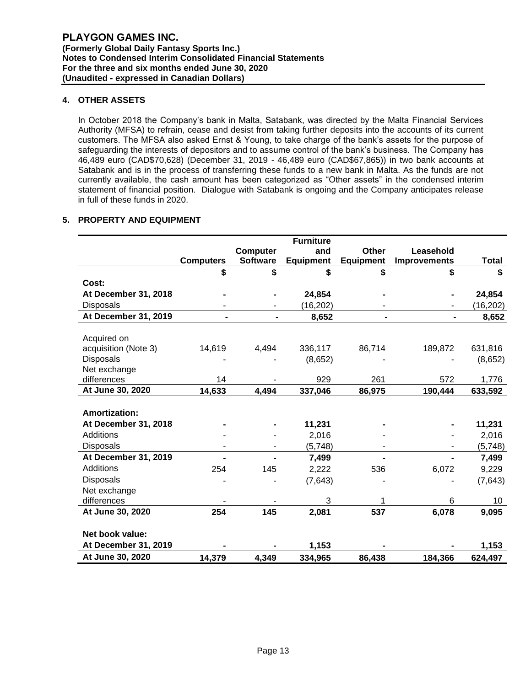# **4. OTHER ASSETS**

In October 2018 the Company's bank in Malta, Satabank, was directed by the Malta Financial Services Authority (MFSA) to refrain, cease and desist from taking further deposits into the accounts of its current customers. The MFSA also asked Ernst & Young, to take charge of the bank's assets for the purpose of safeguarding the interests of depositors and to assume control of the bank's business. The Company has 46,489 euro (CAD\$70,628) (December 31, 2019 - 46,489 euro (CAD\$67,865)) in two bank accounts at Satabank and is in the process of transferring these funds to a new bank in Malta. As the funds are not currently available, the cash amount has been categorized as "Other assets" in the condensed interim statement of financial position. Dialogue with Satabank is ongoing and the Company anticipates release in full of these funds in 2020.

# **5. PROPERTY AND EQUIPMENT**

|                      |                  |                 | <b>Furniture</b> |                  |                     |              |
|----------------------|------------------|-----------------|------------------|------------------|---------------------|--------------|
|                      |                  | <b>Computer</b> | and              | <b>Other</b>     | Leasehold           |              |
|                      | <b>Computers</b> | <b>Software</b> | <b>Equipment</b> | <b>Equipment</b> | <b>Improvements</b> | <b>Total</b> |
|                      | \$               | \$              | \$               | \$               | \$                  | \$           |
| Cost:                |                  |                 |                  |                  |                     |              |
| At December 31, 2018 |                  |                 | 24,854           |                  |                     | 24,854       |
| <b>Disposals</b>     |                  |                 | (16, 202)        |                  |                     | (16, 202)    |
| At December 31, 2019 |                  |                 | 8,652            |                  |                     | 8,652        |
|                      |                  |                 |                  |                  |                     |              |
| Acquired on          |                  |                 |                  |                  |                     |              |
| acquisition (Note 3) | 14,619           | 4,494           | 336,117          | 86,714           | 189,872             | 631,816      |
| Disposals            |                  |                 | (8,652)          |                  |                     | (8,652)      |
| Net exchange         |                  |                 |                  |                  |                     |              |
| differences          | 14               |                 | 929              | 261              | 572                 | 1,776        |
| At June 30, 2020     | 14,633           | 4,494           | 337,046          | 86,975           | 190,444             | 633,592      |
|                      |                  |                 |                  |                  |                     |              |
| <b>Amortization:</b> |                  |                 |                  |                  |                     |              |
| At December 31, 2018 |                  |                 | 11,231           |                  |                     | 11,231       |
| Additions            |                  |                 | 2,016            |                  |                     | 2,016        |
| <b>Disposals</b>     |                  |                 | (5,748)          |                  |                     | (5, 748)     |
| At December 31, 2019 |                  |                 | 7,499            |                  |                     | 7,499        |
| <b>Additions</b>     | 254              | 145             | 2,222            | 536              | 6,072               | 9,229        |
| <b>Disposals</b>     |                  |                 | (7,643)          |                  |                     | (7, 643)     |
| Net exchange         |                  |                 |                  |                  |                     |              |
| differences          |                  |                 | 3                | 1                | 6                   | 10           |
| At June 30, 2020     | 254              | 145             | 2,081            | 537              | 6,078               | 9,095        |
|                      |                  |                 |                  |                  |                     |              |
| Net book value:      |                  |                 |                  |                  |                     |              |
| At December 31, 2019 |                  |                 | 1,153            |                  |                     | 1,153        |
| At June 30, 2020     | 14,379           | 4,349           | 334,965          | 86,438           | 184,366             | 624,497      |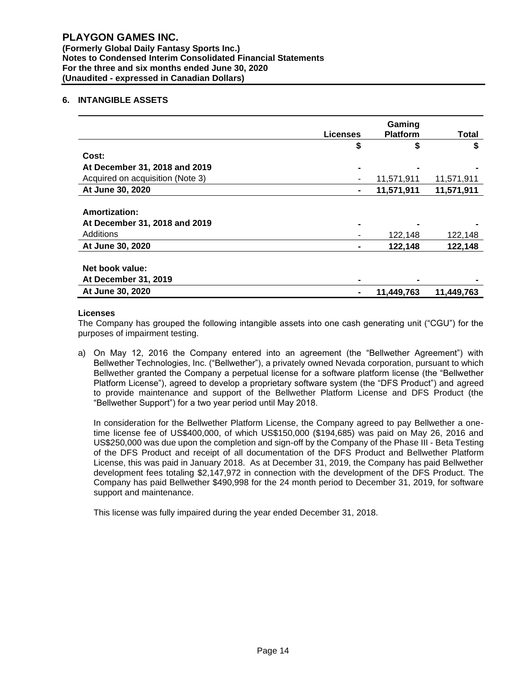**(Formerly Global Daily Fantasy Sports Inc.) Notes to Condensed Interim Consolidated Financial Statements For the three and six months ended June 30, 2020 (Unaudited - expressed in Canadian Dollars)**

# **6. INTANGIBLE ASSETS**

|                                                | <b>Licenses</b> | Gaming          |            |
|------------------------------------------------|-----------------|-----------------|------------|
|                                                |                 | <b>Platform</b> | Total      |
|                                                | \$              | \$              | S          |
| Cost:                                          |                 |                 |            |
| At December 31, 2018 and 2019                  |                 |                 |            |
| Acquired on acquisition (Note 3)               |                 | 11,571,911      | 11,571,911 |
| At June 30, 2020                               | $\blacksquare$  | 11,571,911      | 11,571,911 |
| Amortization:<br>At December 31, 2018 and 2019 |                 |                 |            |
| Additions                                      |                 | 122,148         | 122,148    |
| At June 30, 2020                               |                 | 122,148         | 122,148    |
| Net book value:<br>At December 31, 2019        |                 |                 |            |
| At June 30, 2020                               |                 | 11,449,763      | 11,449,763 |

# **Licenses**

The Company has grouped the following intangible assets into one cash generating unit ("CGU") for the purposes of impairment testing.

a) On May 12, 2016 the Company entered into an agreement (the "Bellwether Agreement") with Bellwether Technologies, Inc. ("Bellwether"), a privately owned Nevada corporation, pursuant to which Bellwether granted the Company a perpetual license for a software platform license (the "Bellwether Platform License"), agreed to develop a proprietary software system (the "DFS Product") and agreed to provide maintenance and support of the Bellwether Platform License and DFS Product (the "Bellwether Support") for a two year period until May 2018.

In consideration for the Bellwether Platform License, the Company agreed to pay Bellwether a onetime license fee of US\$400,000, of which US\$150,000 (\$194,685) was paid on May 26, 2016 and US\$250,000 was due upon the completion and sign-off by the Company of the Phase III - Beta Testing of the DFS Product and receipt of all documentation of the DFS Product and Bellwether Platform License, this was paid in January 2018. As at December 31, 2019, the Company has paid Bellwether development fees totaling \$2,147,972 in connection with the development of the DFS Product. The Company has paid Bellwether \$490,998 for the 24 month period to December 31, 2019, for software support and maintenance.

This license was fully impaired during the year ended December 31, 2018.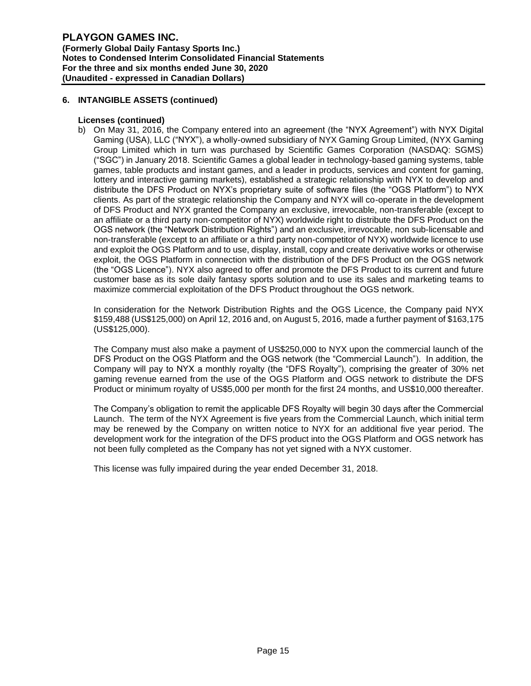# **6. INTANGIBLE ASSETS (continued)**

# **Licenses (continued)**

b) On May 31, 2016, the Company entered into an agreement (the "NYX Agreement") with NYX Digital Gaming (USA), LLC ("NYX"), a wholly-owned subsidiary of NYX Gaming Group Limited, (NYX Gaming Group Limited which in turn was purchased by Scientific Games Corporation (NASDAQ: SGMS) ("SGC") in January 2018. Scientific Games a global leader in technology-based gaming systems, table games, table products and instant games, and a leader in products, services and content for gaming, lottery and interactive gaming markets), established a strategic relationship with NYX to develop and distribute the DFS Product on NYX's proprietary suite of software files (the "OGS Platform") to NYX clients. As part of the strategic relationship the Company and NYX will co-operate in the development of DFS Product and NYX granted the Company an exclusive, irrevocable, non-transferable (except to an affiliate or a third party non-competitor of NYX) worldwide right to distribute the DFS Product on the OGS network (the "Network Distribution Rights") and an exclusive, irrevocable, non sub-licensable and non-transferable (except to an affiliate or a third party non-competitor of NYX) worldwide licence to use and exploit the OGS Platform and to use, display, install, copy and create derivative works or otherwise exploit, the OGS Platform in connection with the distribution of the DFS Product on the OGS network (the "OGS Licence"). NYX also agreed to offer and promote the DFS Product to its current and future customer base as its sole daily fantasy sports solution and to use its sales and marketing teams to maximize commercial exploitation of the DFS Product throughout the OGS network.

In consideration for the Network Distribution Rights and the OGS Licence, the Company paid NYX \$159,488 (US\$125,000) on April 12, 2016 and, on August 5, 2016, made a further payment of \$163,175 (US\$125,000).

The Company must also make a payment of US\$250,000 to NYX upon the commercial launch of the DFS Product on the OGS Platform and the OGS network (the "Commercial Launch"). In addition, the Company will pay to NYX a monthly royalty (the "DFS Royalty"), comprising the greater of 30% net gaming revenue earned from the use of the OGS Platform and OGS network to distribute the DFS Product or minimum royalty of US\$5,000 per month for the first 24 months, and US\$10,000 thereafter.

The Company's obligation to remit the applicable DFS Royalty will begin 30 days after the Commercial Launch. The term of the NYX Agreement is five years from the Commercial Launch, which initial term may be renewed by the Company on written notice to NYX for an additional five year period. The development work for the integration of the DFS product into the OGS Platform and OGS network has not been fully completed as the Company has not yet signed with a NYX customer.

This license was fully impaired during the year ended December 31, 2018.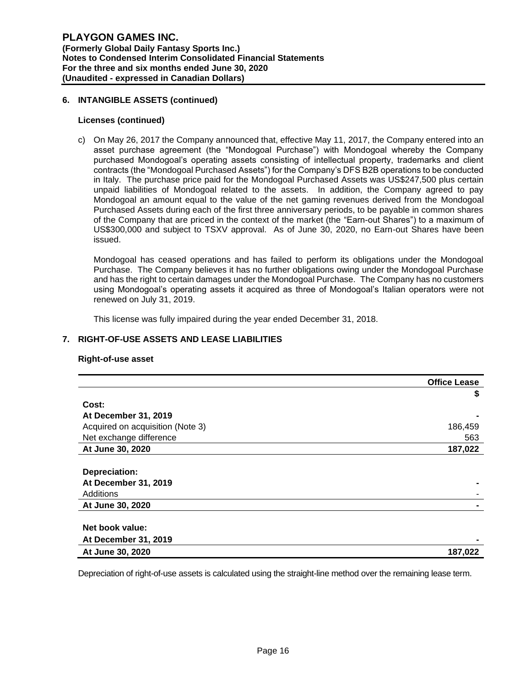### **6. INTANGIBLE ASSETS (continued)**

### **Licenses (continued)**

c) On May 26, 2017 the Company announced that, effective May 11, 2017, the Company entered into an asset purchase agreement (the "Mondogoal Purchase") with Mondogoal whereby the Company purchased Mondogoal's operating assets consisting of intellectual property, trademarks and client contracts (the "Mondogoal Purchased Assets") for the Company's DFS B2B operations to be conducted in Italy. The purchase price paid for the Mondogoal Purchased Assets was US\$247,500 plus certain unpaid liabilities of Mondogoal related to the assets. In addition, the Company agreed to pay Mondogoal an amount equal to the value of the net gaming revenues derived from the Mondogoal Purchased Assets during each of the first three anniversary periods, to be payable in common shares of the Company that are priced in the context of the market (the "Earn-out Shares") to a maximum of US\$300,000 and subject to TSXV approval. As of June 30, 2020, no Earn-out Shares have been issued.

Mondogoal has ceased operations and has failed to perform its obligations under the Mondogoal Purchase. The Company believes it has no further obligations owing under the Mondogoal Purchase and has the right to certain damages under the Mondogoal Purchase. The Company has no customers using Mondogoal's operating assets it acquired as three of Mondogoal's Italian operators were not renewed on July 31, 2019.

This license was fully impaired during the year ended December 31, 2018.

# **7. RIGHT-OF-USE ASSETS AND LEASE LIABILITIES**

### **Right-of-use asset**

|                                  | <b>Office Lease</b> |
|----------------------------------|---------------------|
|                                  | \$                  |
| Cost:                            |                     |
| At December 31, 2019             |                     |
| Acquired on acquisition (Note 3) | 186,459             |
| Net exchange difference          | 563                 |
| At June 30, 2020                 | 187,022             |
|                                  |                     |
| Depreciation:                    |                     |
| At December 31, 2019             |                     |
| Additions                        |                     |
| At June 30, 2020                 |                     |
|                                  |                     |
| Net book value:                  |                     |
| <b>At December 31, 2019</b>      |                     |
| At June 30, 2020                 | 187,022             |

Depreciation of right-of-use assets is calculated using the straight-line method over the remaining lease term.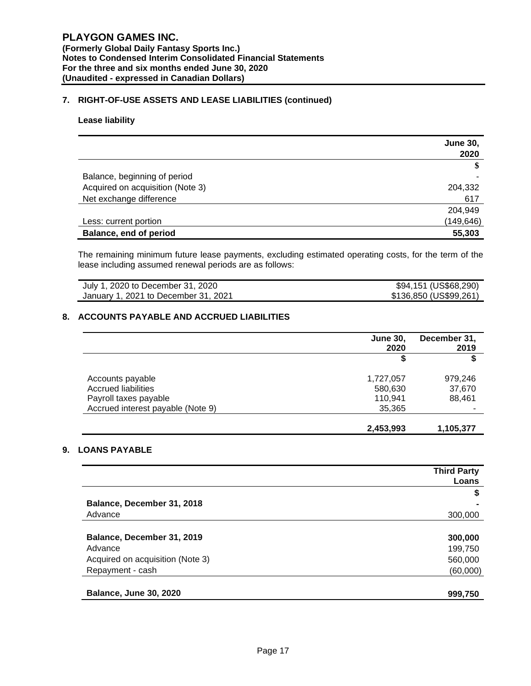# **7. RIGHT-OF-USE ASSETS AND LEASE LIABILITIES (continued)**

### **Lease liability**

|                                  | <b>June 30,</b><br>2020 |
|----------------------------------|-------------------------|
|                                  |                         |
| Balance, beginning of period     |                         |
| Acquired on acquisition (Note 3) | 204,332                 |
| Net exchange difference          | 617                     |
|                                  | 204,949                 |
| Less: current portion            | (149, 646)              |
| Balance, end of period           | 55,303                  |

The remaining minimum future lease payments, excluding estimated operating costs, for the term of the lease including assumed renewal periods are as follows:

| July 1, 2020 to December 31, 2020    | \$94,151 (US\$68,290)  |
|--------------------------------------|------------------------|
| January 1, 2021 to December 31, 2021 | \$136,850 (US\$99,261) |

# **8. ACCOUNTS PAYABLE AND ACCRUED LIABILITIES**

|                                   | <b>June 30,</b><br>2020 | December 31,<br>2019 |
|-----------------------------------|-------------------------|----------------------|
|                                   | \$                      | S                    |
| Accounts payable                  | 1,727,057               | 979,246              |
| <b>Accrued liabilities</b>        | 580,630                 | 37,670               |
| Payroll taxes payable             | 110,941                 | 88,461               |
| Accrued interest payable (Note 9) | 35,365                  |                      |
|                                   | 2,453,993               | 1,105,377            |

# **9. LOANS PAYABLE**

|                                  | <b>Third Party</b> |
|----------------------------------|--------------------|
|                                  | Loans              |
|                                  | \$                 |
| Balance, December 31, 2018       |                    |
| Advance                          | 300,000            |
|                                  |                    |
| Balance, December 31, 2019       | 300,000            |
| Advance                          | 199,750            |
| Acquired on acquisition (Note 3) | 560,000            |
| Repayment - cash                 | (60,000)           |
|                                  |                    |
| <b>Balance, June 30, 2020</b>    | 999,750            |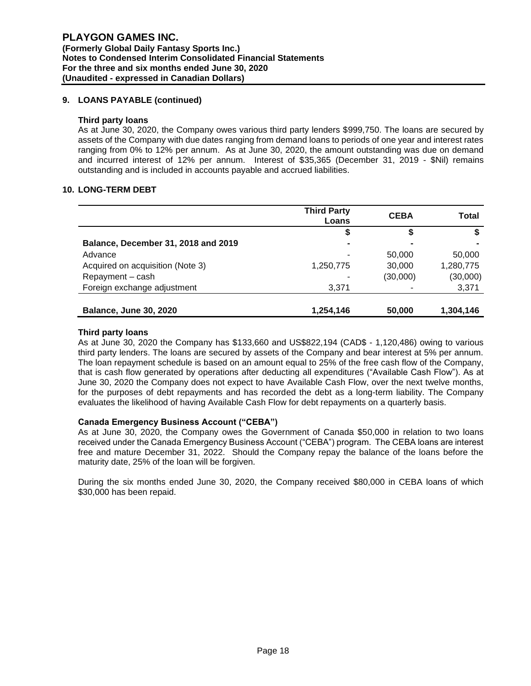# **9. LOANS PAYABLE (continued)**

### **Third party loans**

As at June 30, 2020, the Company owes various third party lenders \$999,750. The loans are secured by assets of the Company with due dates ranging from demand loans to periods of one year and interest rates ranging from 0% to 12% per annum. As at June 30, 2020, the amount outstanding was due on demand and incurred interest of 12% per annum. Interest of \$35,365 (December 31, 2019 - \$Nil) remains outstanding and is included in accounts payable and accrued liabilities.

### **10. LONG-TERM DEBT**

|                                     | <b>Third Party</b><br>Loans | <b>CEBA</b> | Total     |
|-------------------------------------|-----------------------------|-------------|-----------|
|                                     | \$                          |             |           |
| Balance, December 31, 2018 and 2019 |                             |             |           |
| Advance                             | ۰                           | 50,000      | 50,000    |
| Acquired on acquisition (Note 3)    | 1,250,775                   | 30,000      | 1,280,775 |
| Repayment - cash                    |                             | (30,000)    | (30,000)  |
| Foreign exchange adjustment         | 3,371                       |             | 3,371     |
|                                     |                             |             |           |
| <b>Balance, June 30, 2020</b>       | 1,254,146                   | 50,000      | 1,304,146 |

#### **Third party loans**

As at June 30, 2020 the Company has \$133,660 and US\$822,194 (CAD\$ - 1,120,486) owing to various third party lenders. The loans are secured by assets of the Company and bear interest at 5% per annum. The loan repayment schedule is based on an amount equal to 25% of the free cash flow of the Company, that is cash flow generated by operations after deducting all expenditures ("Available Cash Flow"). As at June 30, 2020 the Company does not expect to have Available Cash Flow, over the next twelve months, for the purposes of debt repayments and has recorded the debt as a long-term liability. The Company evaluates the likelihood of having Available Cash Flow for debt repayments on a quarterly basis.

### **Canada Emergency Business Account ("CEBA")**

As at June 30, 2020, the Company owes the Government of Canada \$50,000 in relation to two loans received under the Canada Emergency Business Account ("CEBA") program. The CEBA loans are interest free and mature December 31, 2022. Should the Company repay the balance of the loans before the maturity date, 25% of the loan will be forgiven.

During the six months ended June 30, 2020, the Company received \$80,000 in CEBA loans of which \$30,000 has been repaid.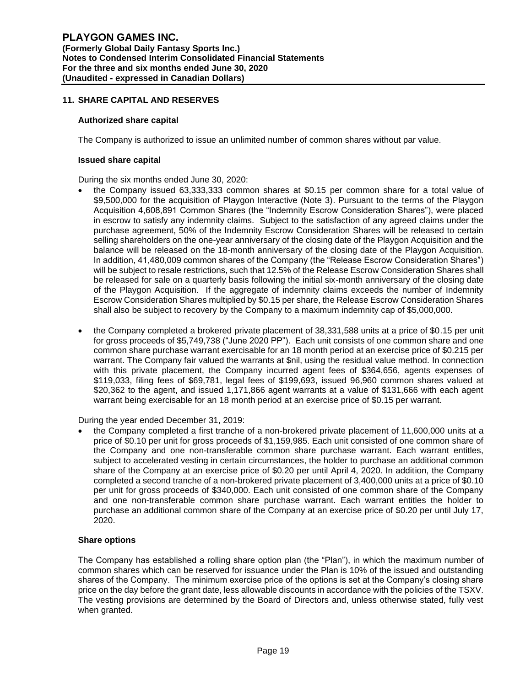# **11. SHARE CAPITAL AND RESERVES**

### **Authorized share capital**

The Company is authorized to issue an unlimited number of common shares without par value.

#### **Issued share capital**

During the six months ended June 30, 2020:

- the Company issued 63,333,333 common shares at \$0.15 per common share for a total value of \$9,500,000 for the acquisition of Playgon Interactive (Note 3). Pursuant to the terms of the Playgon Acquisition 4,608,891 Common Shares (the "Indemnity Escrow Consideration Shares"), were placed in escrow to satisfy any indemnity claims. Subject to the satisfaction of any agreed claims under the purchase agreement, 50% of the Indemnity Escrow Consideration Shares will be released to certain selling shareholders on the one-year anniversary of the closing date of the Playgon Acquisition and the balance will be released on the 18-month anniversary of the closing date of the Playgon Acquisition. In addition, 41,480,009 common shares of the Company (the "Release Escrow Consideration Shares") will be subject to resale restrictions, such that 12.5% of the Release Escrow Consideration Shares shall be released for sale on a quarterly basis following the initial six-month anniversary of the closing date of the Playgon Acquisition. If the aggregate of indemnity claims exceeds the number of Indemnity Escrow Consideration Shares multiplied by \$0.15 per share, the Release Escrow Consideration Shares shall also be subject to recovery by the Company to a maximum indemnity cap of \$5,000,000.
- the Company completed a brokered private placement of 38,331,588 units at a price of \$0.15 per unit for gross proceeds of \$5,749,738 ("June 2020 PP"). Each unit consists of one common share and one common share purchase warrant exercisable for an 18 month period at an exercise price of \$0.215 per warrant. The Company fair valued the warrants at \$nil, using the residual value method. In connection with this private placement, the Company incurred agent fees of \$364,656, agents expenses of \$119,033, filing fees of \$69,781, legal fees of \$199,693, issued 96,960 common shares valued at \$20,362 to the agent, and issued 1,171,866 agent warrants at a value of \$131,666 with each agent warrant being exercisable for an 18 month period at an exercise price of \$0.15 per warrant.

During the year ended December 31, 2019:

• the Company completed a first tranche of a non-brokered private placement of 11,600,000 units at a price of \$0.10 per unit for gross proceeds of \$1,159,985. Each unit consisted of one common share of the Company and one non-transferable common share purchase warrant. Each warrant entitles, subject to accelerated vesting in certain circumstances, the holder to purchase an additional common share of the Company at an exercise price of \$0.20 per until April 4, 2020. In addition, the Company completed a second tranche of a non-brokered private placement of 3,400,000 units at a price of \$0.10 per unit for gross proceeds of \$340,000. Each unit consisted of one common share of the Company and one non-transferable common share purchase warrant. Each warrant entitles the holder to purchase an additional common share of the Company at an exercise price of \$0.20 per until July 17, 2020.

### **Share options**

The Company has established a rolling share option plan (the "Plan"), in which the maximum number of common shares which can be reserved for issuance under the Plan is 10% of the issued and outstanding shares of the Company. The minimum exercise price of the options is set at the Company's closing share price on the day before the grant date, less allowable discounts in accordance with the policies of the TSXV. The vesting provisions are determined by the Board of Directors and, unless otherwise stated, fully vest when granted.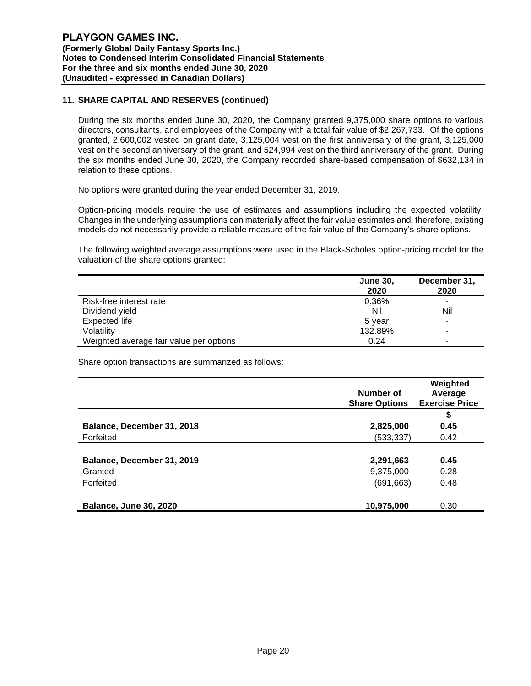# **11. SHARE CAPITAL AND RESERVES (continued)**

During the six months ended June 30, 2020, the Company granted 9,375,000 share options to various directors, consultants, and employees of the Company with a total fair value of \$2,267,733. Of the options granted, 2,600,002 vested on grant date, 3,125,004 vest on the first anniversary of the grant, 3,125,000 vest on the second anniversary of the grant, and 524,994 vest on the third anniversary of the grant. During the six months ended June 30, 2020, the Company recorded share-based compensation of \$632,134 in relation to these options.

No options were granted during the year ended December 31, 2019.

Option-pricing models require the use of estimates and assumptions including the expected volatility. Changes in the underlying assumptions can materially affect the fair value estimates and, therefore, existing models do not necessarily provide a reliable measure of the fair value of the Company's share options.

The following weighted average assumptions were used in the Black-Scholes option-pricing model for the valuation of the share options granted:

|                                         | <b>June 30,</b><br>2020 | December 31,<br>2020 |
|-----------------------------------------|-------------------------|----------------------|
| Risk-free interest rate                 | 0.36%                   | $\blacksquare$       |
| Dividend yield                          | Nil                     | Nil                  |
| Expected life                           | 5 year                  | ۰                    |
| Volatility                              | 132.89%                 |                      |
| Weighted average fair value per options | 0.24                    | -                    |

Share option transactions are summarized as follows:

|                               | Number of<br><b>Share Options</b> | Weighted<br>Average<br><b>Exercise Price</b> |
|-------------------------------|-----------------------------------|----------------------------------------------|
|                               |                                   | \$                                           |
| Balance, December 31, 2018    | 2,825,000                         | 0.45                                         |
| Forfeited                     | (533, 337)                        | 0.42                                         |
|                               |                                   |                                              |
| Balance, December 31, 2019    | 2,291,663                         | 0.45                                         |
| Granted                       | 9,375,000                         | 0.28                                         |
| Forfeited                     | (691,663)                         | 0.48                                         |
|                               |                                   |                                              |
| <b>Balance, June 30, 2020</b> | 10,975,000                        | 0.30                                         |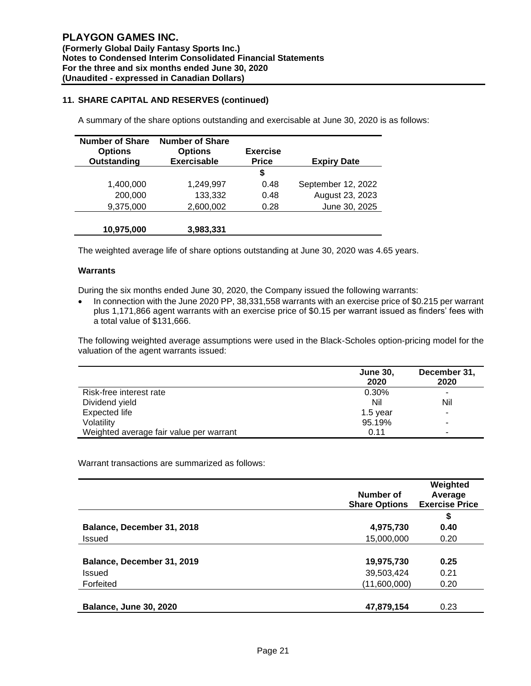# **11. SHARE CAPITAL AND RESERVES (continued)**

A summary of the share options outstanding and exercisable at June 30, 2020 is as follows:

| <b>Number of Share</b><br><b>Options</b><br>Outstanding | <b>Number of Share</b><br><b>Options</b><br><b>Exercisable</b> | <b>Exercise</b><br><b>Price</b> | <b>Expiry Date</b> |
|---------------------------------------------------------|----------------------------------------------------------------|---------------------------------|--------------------|
|                                                         |                                                                | \$                              |                    |
| 1,400,000                                               | 1,249,997                                                      | 0.48                            | September 12, 2022 |
| 200,000                                                 | 133,332                                                        | 0.48                            | August 23, 2023    |
| 9,375,000                                               | 2,600,002                                                      | 0.28                            | June 30, 2025      |
| 10,975,000                                              | 3,983,331                                                      |                                 |                    |

The weighted average life of share options outstanding at June 30, 2020 was 4.65 years.

#### **Warrants**

During the six months ended June 30, 2020, the Company issued the following warrants:

• In connection with the June 2020 PP, 38,331,558 warrants with an exercise price of \$0.215 per warrant plus 1,171,866 agent warrants with an exercise price of \$0.15 per warrant issued as finders' fees with a total value of \$131,666.

The following weighted average assumptions were used in the Black-Scholes option-pricing model for the valuation of the agent warrants issued:

|                                         | <b>June 30,</b><br>2020 | December 31,<br>2020 |
|-----------------------------------------|-------------------------|----------------------|
| Risk-free interest rate                 | 0.30%                   | -                    |
| Dividend yield                          | Nil                     | Nil                  |
| <b>Expected life</b>                    | $1.5$ year              |                      |
| Volatility                              | 95.19%                  | -                    |
| Weighted average fair value per warrant | 0.11                    | -                    |

Warrant transactions are summarized as follows:

|                               | Number of<br><b>Share Options</b> | Weighted<br>Average<br><b>Exercise Price</b> |
|-------------------------------|-----------------------------------|----------------------------------------------|
|                               |                                   | \$                                           |
| Balance, December 31, 2018    | 4,975,730                         | 0.40                                         |
| Issued                        | 15,000,000                        | 0.20                                         |
|                               |                                   |                                              |
| Balance, December 31, 2019    | 19,975,730                        | 0.25                                         |
| <b>Issued</b>                 | 39,503,424                        | 0.21                                         |
| Forfeited                     | (11,600,000)                      | 0.20                                         |
|                               |                                   |                                              |
| <b>Balance, June 30, 2020</b> | 47,879,154                        | 0.23                                         |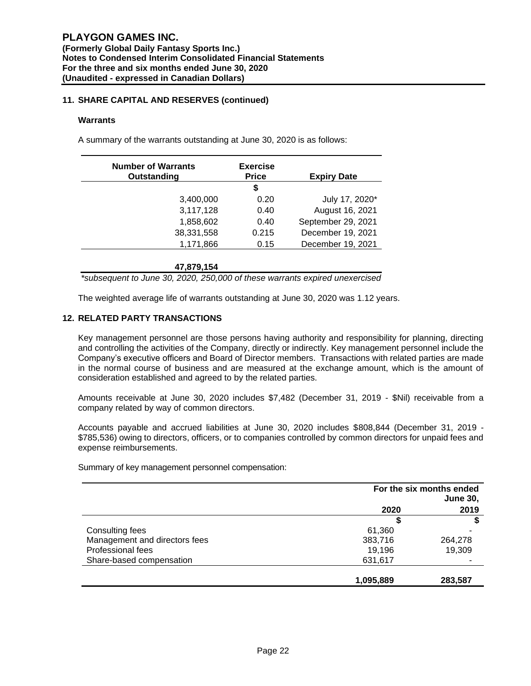# **11. SHARE CAPITAL AND RESERVES (continued)**

### **Warrants**

A summary of the warrants outstanding at June 30, 2020 is as follows:

| <b>Number of Warrants</b><br>Outstanding | <b>Exercise</b><br><b>Price</b> | <b>Expiry Date</b> |
|------------------------------------------|---------------------------------|--------------------|
|                                          | S                               |                    |
| 3,400,000                                | 0.20                            | July 17, 2020*     |
| 3,117,128                                | 0.40                            | August 16, 2021    |
| 1,858,602                                | 0.40                            | September 29, 2021 |
| 38,331,558                               | 0.215                           | December 19, 2021  |
| 1,171,866                                | 0.15                            | December 19, 2021  |

**47,879,154**

*\*subsequent to June 30, 2020, 250,000 of these warrants expired unexercised*

The weighted average life of warrants outstanding at June 30, 2020 was 1.12 years.

### **12. RELATED PARTY TRANSACTIONS**

Key management personnel are those persons having authority and responsibility for planning, directing and controlling the activities of the Company, directly or indirectly. Key management personnel include the Company's executive officers and Board of Director members. Transactions with related parties are made in the normal course of business and are measured at the exchange amount, which is the amount of consideration established and agreed to by the related parties.

Amounts receivable at June 30, 2020 includes \$7,482 (December 31, 2019 - \$Nil) receivable from a company related by way of common directors.

Accounts payable and accrued liabilities at June 30, 2020 includes \$808,844 (December 31, 2019 - \$785,536) owing to directors, officers, or to companies controlled by common directors for unpaid fees and expense reimbursements.

Summary of key management personnel compensation:

|                               | For the six months ended<br><b>June 30,</b> |         |
|-------------------------------|---------------------------------------------|---------|
|                               | 2020                                        | 2019    |
|                               |                                             |         |
| Consulting fees               | 61,360                                      |         |
| Management and directors fees | 383,716                                     | 264,278 |
| Professional fees             | 19,196                                      | 19,309  |
| Share-based compensation      | 631,617                                     |         |
|                               | 1,095,889                                   | 283,587 |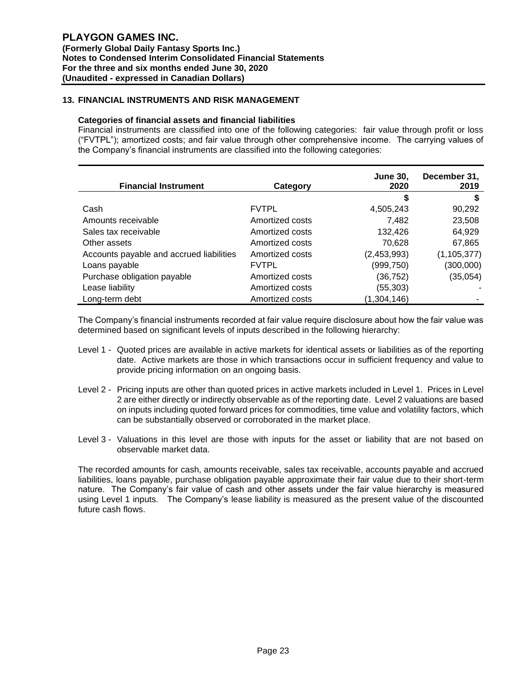# **13. FINANCIAL INSTRUMENTS AND RISK MANAGEMENT**

### **Categories of financial assets and financial liabilities**

Financial instruments are classified into one of the following categories: fair value through profit or loss ("FVTPL"); amortized costs; and fair value through other comprehensive income. The carrying values of the Company's financial instruments are classified into the following categories:

| <b>Financial Instrument</b>              | Category        | <b>June 30,</b><br>2020 | December 31,<br>2019 |
|------------------------------------------|-----------------|-------------------------|----------------------|
|                                          |                 | \$                      | S                    |
| Cash                                     | <b>FVTPL</b>    | 4,505,243               | 90,292               |
| Amounts receivable                       | Amortized costs | 7,482                   | 23,508               |
| Sales tax receivable                     | Amortized costs | 132,426                 | 64,929               |
| Other assets                             | Amortized costs | 70,628                  | 67,865               |
| Accounts payable and accrued liabilities | Amortized costs | (2,453,993)             | (1, 105, 377)        |
| Loans payable                            | <b>FVTPL</b>    | (999,750)               | (300,000)            |
| Purchase obligation payable              | Amortized costs | (36, 752)               | (35,054)             |
| Lease liability                          | Amortized costs | (55, 303)               |                      |
| Long-term debt                           | Amortized costs | (1,304,146)             |                      |

The Company's financial instruments recorded at fair value require disclosure about how the fair value was determined based on significant levels of inputs described in the following hierarchy:

- Level 1 Quoted prices are available in active markets for identical assets or liabilities as of the reporting date. Active markets are those in which transactions occur in sufficient frequency and value to provide pricing information on an ongoing basis.
- Level 2 Pricing inputs are other than quoted prices in active markets included in Level 1. Prices in Level 2 are either directly or indirectly observable as of the reporting date. Level 2 valuations are based on inputs including quoted forward prices for commodities, time value and volatility factors, which can be substantially observed or corroborated in the market place.
- Level 3 Valuations in this level are those with inputs for the asset or liability that are not based on observable market data.

The recorded amounts for cash, amounts receivable, sales tax receivable, accounts payable and accrued liabilities, loans payable, purchase obligation payable approximate their fair value due to their short-term nature. The Company's fair value of cash and other assets under the fair value hierarchy is measured using Level 1 inputs. The Company's lease liability is measured as the present value of the discounted future cash flows.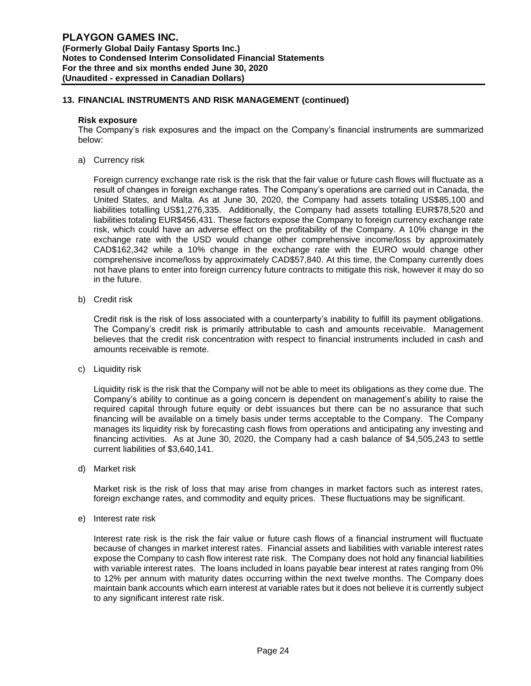### **13. FINANCIAL INSTRUMENTS AND RISK MANAGEMENT (continued)**

#### **Risk exposure**

The Company's risk exposures and the impact on the Company's financial instruments are summarized below:

a) Currency risk

Foreign currency exchange rate risk is the risk that the fair value or future cash flows will fluctuate as a result of changes in foreign exchange rates. The Company's operations are carried out in Canada, the United States, and Malta. As at June 30, 2020, the Company had assets totaling US\$85,100 and liabilities totalling US\$1,276,335. Additionally, the Company had assets totalling EUR\$78,520 and liabilities totaling EUR\$456,431. These factors expose the Company to foreign currency exchange rate risk, which could have an adverse effect on the profitability of the Company. A 10% change in the exchange rate with the USD would change other comprehensive income/loss by approximately CAD\$162,342 while a 10% change in the exchange rate with the EURO would change other comprehensive income/loss by approximately CAD\$57,840. At this time, the Company currently does not have plans to enter into foreign currency future contracts to mitigate this risk, however it may do so in the future.

b) Credit risk

Credit risk is the risk of loss associated with a counterparty's inability to fulfill its payment obligations. The Company's credit risk is primarily attributable to cash and amounts receivable. Management believes that the credit risk concentration with respect to financial instruments included in cash and amounts receivable is remote.

c) Liquidity risk

Liquidity risk is the risk that the Company will not be able to meet its obligations as they come due. The Company's ability to continue as a going concern is dependent on management's ability to raise the required capital through future equity or debt issuances but there can be no assurance that such financing will be available on a timely basis under terms acceptable to the Company. The Company manages its liquidity risk by forecasting cash flows from operations and anticipating any investing and financing activities. As at June 30, 2020, the Company had a cash balance of \$4,505,243 to settle current liabilities of \$3,640,141.

d) Market risk

Market risk is the risk of loss that may arise from changes in market factors such as interest rates, foreign exchange rates, and commodity and equity prices. These fluctuations may be significant.

e) Interest rate risk

Interest rate risk is the risk the fair value or future cash flows of a financial instrument will fluctuate because of changes in market interest rates. Financial assets and liabilities with variable interest rates expose the Company to cash flow interest rate risk. The Company does not hold any financial liabilities with variable interest rates. The loans included in loans payable bear interest at rates ranging from 0% to 12% per annum with maturity dates occurring within the next twelve months. The Company does maintain bank accounts which earn interest at variable rates but it does not believe it is currently subject to any significant interest rate risk.